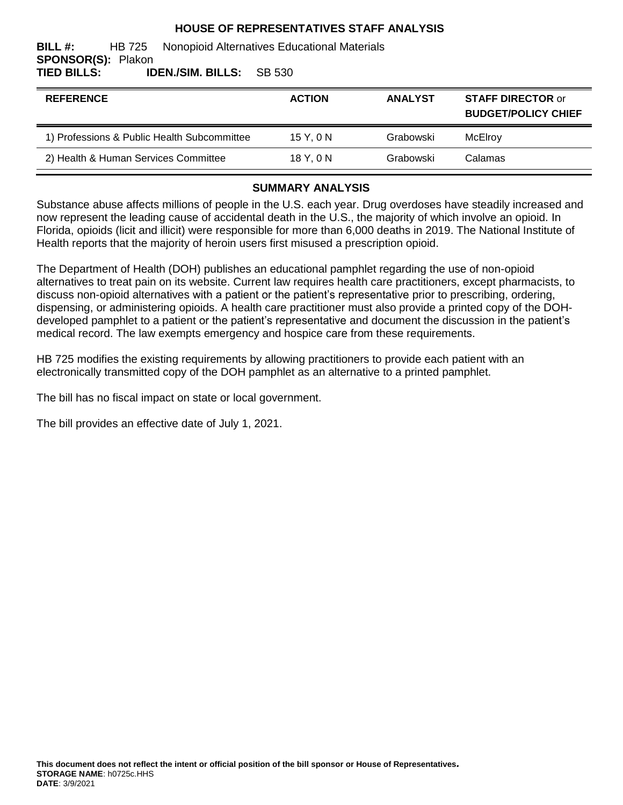#### **HOUSE OF REPRESENTATIVES STAFF ANALYSIS**

#### **BILL #:** HB 725 Nonopioid Alternatives Educational Materials **SPONSOR(S):** Plakon **TIED BILLS: IDEN./SIM. BILLS:** SB 530

| <b>REFERENCE</b>                            | <b>ACTION</b> | <b>ANALYST</b> | <b>STAFF DIRECTOR or</b><br><b>BUDGET/POLICY CHIEF</b> |
|---------------------------------------------|---------------|----------------|--------------------------------------------------------|
| 1) Professions & Public Health Subcommittee | 15Y.0N        | Grabowski      | McElrov                                                |
| 2) Health & Human Services Committee        | 18Y.0N        | Grabowski      | Calamas                                                |

#### **SUMMARY ANALYSIS**

Substance abuse affects millions of people in the U.S. each year. Drug overdoses have steadily increased and now represent the leading cause of accidental death in the U.S., the majority of which involve an opioid. In Florida, opioids (licit and illicit) were responsible for more than 6,000 deaths in 2019. The National Institute of Health reports that the majority of heroin users first misused a prescription opioid.

The Department of Health (DOH) publishes an educational pamphlet regarding the use of non-opioid alternatives to treat pain on its website. Current law requires health care practitioners, except pharmacists, to discuss non-opioid alternatives with a patient or the patient's representative prior to prescribing, ordering, dispensing, or administering opioids. A health care practitioner must also provide a printed copy of the DOHdeveloped pamphlet to a patient or the patient's representative and document the discussion in the patient's medical record. The law exempts emergency and hospice care from these requirements.

HB 725 modifies the existing requirements by allowing practitioners to provide each patient with an electronically transmitted copy of the DOH pamphlet as an alternative to a printed pamphlet.

The bill has no fiscal impact on state or local government.

The bill provides an effective date of July 1, 2021.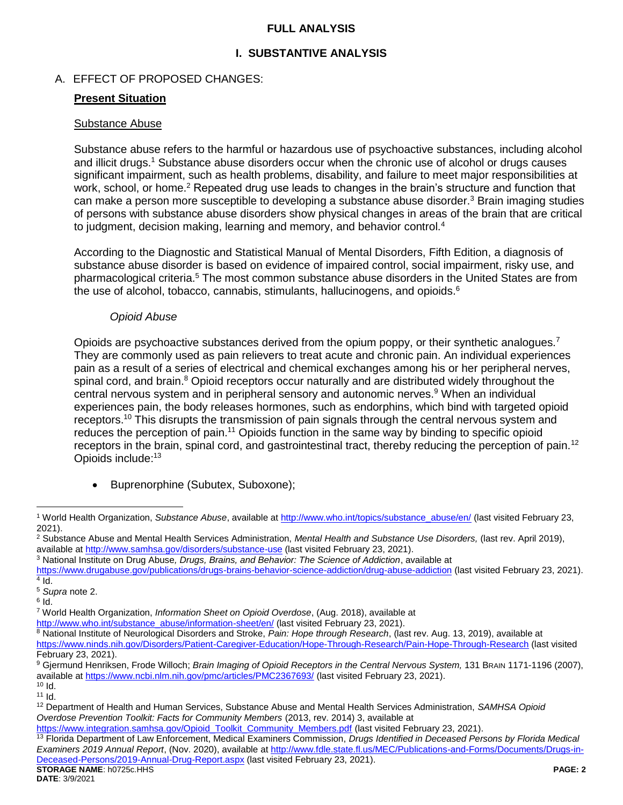#### <span id="page-1-1"></span>**FULL ANALYSIS**

## **I. SUBSTANTIVE ANALYSIS**

## A. EFFECT OF PROPOSED CHANGES:

## **Present Situation**

#### Substance Abuse

<span id="page-1-0"></span>Substance abuse refers to the harmful or hazardous use of psychoactive substances, including alcohol and illicit drugs.<sup>1</sup> Substance abuse disorders occur when the chronic use of alcohol or drugs causes significant impairment, such as health problems, disability, and failure to meet major responsibilities at work, school, or home.<sup>2</sup> Repeated drug use leads to changes in the brain's structure and function that can make a person more susceptible to developing a substance abuse disorder.<sup>3</sup> Brain imaging studies of persons with substance abuse disorders show physical changes in areas of the brain that are critical to judgment, decision making, learning and memory, and behavior control.<sup>4</sup>

According to the Diagnostic and Statistical Manual of Mental Disorders, Fifth Edition, a diagnosis of substance abuse disorder is based on evidence of impaired control, social impairment, risky use, and pharmacological criteria.<sup>5</sup> The most common substance abuse disorders in the United States are from the use of alcohol, tobacco, cannabis, stimulants, hallucinogens, and opioids.<sup>6</sup>

#### <span id="page-1-2"></span>*Opioid Abuse*

Opioids are psychoactive substances derived from the opium poppy, or their synthetic analogues.<sup>7</sup> They are commonly used as pain relievers to treat acute and chronic pain. An individual experiences pain as a result of a series of electrical and chemical exchanges among his or her peripheral nerves, spinal cord, and brain.<sup>8</sup> Opioid receptors occur naturally and are distributed widely throughout the central nervous system and in peripheral sensory and autonomic nerves.<sup>9</sup> When an individual experiences pain, the body releases hormones, such as endorphins, which bind with targeted opioid receptors.<sup>10</sup> This disrupts the transmission of pain signals through the central nervous system and reduces the perception of pain.<sup>11</sup> Opioids function in the same way by binding to specific opioid receptors in the brain, spinal cord, and gastrointestinal tract, thereby reducing the perception of pain.<sup>12</sup> Opioids include:<sup>13</sup>

<span id="page-1-3"></span>• Buprenorphine (Subutex, Suboxone);

 $\overline{a}$ <sup>1</sup> World Health Organization, *Substance Abuse*, available at [http://www.who.int/topics/substance\\_abuse/en/](http://www.who.int/topics/substance_abuse/en/) (last visited February 23, 2021).

<sup>2</sup> Substance Abuse and Mental Health Services Administration, *Mental Health and Substance Use Disorders,* (last rev. April 2019), available at<http://www.samhsa.gov/disorders/substance-use> (last visited February 23, 2021).

<sup>3</sup> National Institute on Drug Abuse*, Drugs, Brains, and Behavior: The Science of Addiction*, available at

<https://www.drugabuse.gov/publications/drugs-brains-behavior-science-addiction/drug-abuse-addiction> (last visited February 23, 2021).  $4$  Id.

<sup>5</sup> *Supra* not[e 2.](#page-1-0)

 $^6$  Id.

<sup>7</sup> World Health Organization, *Information Sheet on Opioid Overdose*, (Aug. 2018), available at

[http://www.who.int/substance\\_abuse/information-sheet/en/](http://www.who.int/substance_abuse/information-sheet/en/) (last visited February 23, 2021).

<sup>8</sup> National Institute of Neurological Disorders and Stroke, *Pain: Hope through Research*, (last rev. Aug. 13, 2019), available at <https://www.ninds.nih.gov/Disorders/Patient-Caregiver-Education/Hope-Through-Research/Pain-Hope-Through-Research> (last visited February 23, 2021).

<sup>9</sup> Gjermund Henriksen, Frode Willoch; *Brain Imaging of Opioid Receptors in the Central Nervous System,* 131 BRAIN 1171-1196 (2007), available at<https://www.ncbi.nlm.nih.gov/pmc/articles/PMC2367693/> (last visited February 23, 2021).  $10$   $\overline{d}$ .

 $11$  Id.

<sup>12</sup> Department of Health and Human Services, Substance Abuse and Mental Health Services Administration, *SAMHSA Opioid Overdose Prevention Toolkit: Facts for Community Members* (2013, rev. 2014) 3, available at

[https://www.integration.samhsa.gov/Opioid\\_Toolkit\\_Community\\_Members.pdf](https://www.integration.samhsa.gov/Opioid_Toolkit_Community_Members.pdf) (last visited February 23, 2021).

**STORAGE NAME**: h0725c.HHS **PAGE: 2** <sup>13</sup> Florida Department of Law Enforcement, Medical Examiners Commission, *Drugs Identified in Deceased Persons by Florida Medical Examiners 2019 Annual Report*, (Nov. 2020), available at [http://www.fdle.state.fl.us/MEC/Publications-and-Forms/Documents/Drugs-in-](http://www.fdle.state.fl.us/MEC/Publications-and-Forms/Documents/Drugs-in-Deceased-Persons/2019-Annual-Drug-Report.aspx)[Deceased-Persons/2019-Annual-Drug-Report.aspx](http://www.fdle.state.fl.us/MEC/Publications-and-Forms/Documents/Drugs-in-Deceased-Persons/2019-Annual-Drug-Report.aspx) (last visited February 23, 2021).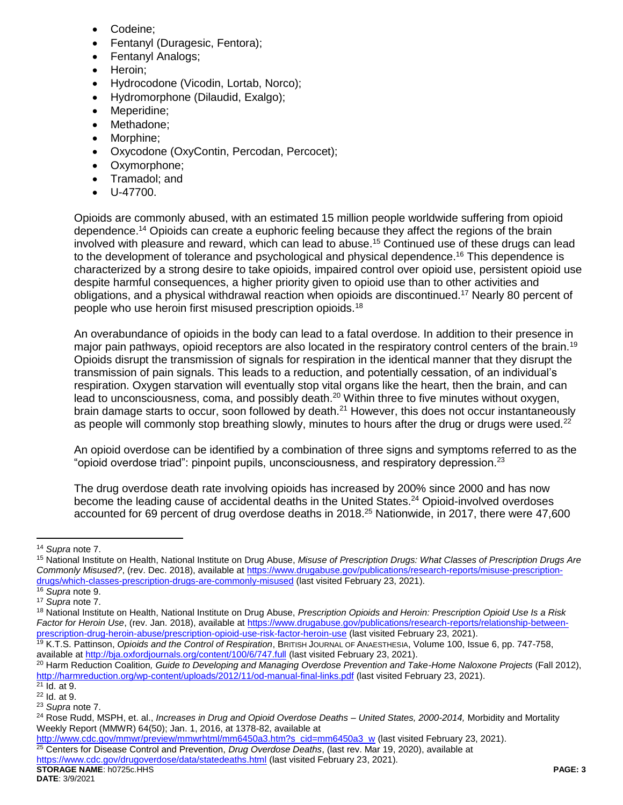- Codeine;
- Fentanyl (Duragesic, Fentora);
- Fentanyl Analogs;
- Heroin:
- Hydrocodone (Vicodin, Lortab, Norco);
- Hydromorphone (Dilaudid, Exalgo);
- Meperidine;
- Methadone:
- Morphine;
- Oxycodone (OxyContin, Percodan, Percocet);
- Oxymorphone;
- Tramadol; and
- U-47700.

Opioids are commonly abused, with an estimated 15 million people worldwide suffering from opioid dependence.<sup>14</sup> Opioids can create a euphoric feeling because they affect the regions of the brain involved with pleasure and reward, which can lead to abuse.<sup>15</sup> Continued use of these drugs can lead to the development of tolerance and psychological and physical dependence.<sup>16</sup> This dependence is characterized by a strong desire to take opioids, impaired control over opioid use, persistent opioid use despite harmful consequences, a higher priority given to opioid use than to other activities and obligations, and a physical withdrawal reaction when opioids are discontinued.<sup>17</sup> Nearly 80 percent of people who use heroin first misused prescription opioids.<sup>18</sup>

An overabundance of opioids in the body can lead to a fatal overdose. In addition to their presence in major pain pathways, opioid receptors are also located in the respiratory control centers of the brain.<sup>19</sup> Opioids disrupt the transmission of signals for respiration in the identical manner that they disrupt the transmission of pain signals. This leads to a reduction, and potentially cessation, of an individual's respiration. Oxygen starvation will eventually stop vital organs like the heart, then the brain, and can lead to unconsciousness, coma, and possibly death.<sup>20</sup> Within three to five minutes without oxygen, brain damage starts to occur, soon followed by death.<sup>21</sup> However, this does not occur instantaneously as people will commonly stop breathing slowly, minutes to hours after the drug or drugs were used.<sup>22</sup>

An opioid overdose can be identified by a combination of three signs and symptoms referred to as the "opioid overdose triad": pinpoint pupils, unconsciousness, and respiratory depression.<sup>23</sup>

The drug overdose death rate involving opioids has increased by 200% since 2000 and has now become the leading cause of accidental deaths in the United States.<sup>24</sup> Opioid-involved overdoses accounted for 69 percent of drug overdose deaths in 2018.<sup>25</sup> Nationwide, in 2017, there were 47,600

 $\overline{a}$ 

<sup>20</sup> Harm Reduction Coalition*, Guide to Developing and Managing Overdose Prevention and Take-Home Naloxone Projects* (Fall 2012), <http://harmreduction.org/wp-content/uploads/2012/11/od-manual-final-links.pdf> (last visited February 23, 2021).

<sup>14</sup> *Supra* not[e 7.](#page-1-1)

<sup>15</sup> National Institute on Health, National Institute on Drug Abuse, *Misuse of Prescription Drugs: What Classes of Prescription Drugs Are Commonly Misused?*, (rev. Dec. 2018), available a[t https://www.drugabuse.gov/publications/research-reports/misuse-prescription](https://www.drugabuse.gov/publications/research-reports/misuse-prescription-drugs/which-classes-prescription-drugs-are-commonly-misused)[drugs/which-classes-prescription-drugs-are-commonly-misused](https://www.drugabuse.gov/publications/research-reports/misuse-prescription-drugs/which-classes-prescription-drugs-are-commonly-misused) (last visited February 23, 2021).

<sup>16</sup> *Supra* not[e 9.](#page-1-2)

<sup>17</sup> *Supra* not[e 7.](#page-1-1)

<sup>18</sup> National Institute on Health, National Institute on Drug Abuse, *Prescription Opioids and Heroin: Prescription Opioid Use Is a Risk Factor for Heroin Use*, (rev. Jan. 2018), available at [https://www.drugabuse.gov/publications/research-reports/relationship-between](https://www.drugabuse.gov/publications/research-reports/relationship-between-prescription-drug-heroin-abuse/prescription-opioid-use-risk-factor-heroin-use)[prescription-drug-heroin-abuse/prescription-opioid-use-risk-factor-heroin-use](https://www.drugabuse.gov/publications/research-reports/relationship-between-prescription-drug-heroin-abuse/prescription-opioid-use-risk-factor-heroin-use) (last visited February 23, 2021).

<sup>19</sup> K.T.S. Pattinson, *Opioids and the Control of Respiration*, BRITISH JOURNAL OF ANAESTHESIA, Volume 100, Issue 6, pp. 747-758, available at<http://bja.oxfordjournals.org/content/100/6/747.full> (last visited February 23, 2021).

 $21$  Id. at 9. <sup>22</sup> Id. at 9.

<sup>23</sup> *Supra* note [7.](#page-1-1)

<sup>24</sup> Rose Rudd, MSPH, et. al., *Increases in Drug and Opioid Overdose Deaths – United States, 2000-2014,* Morbidity and Mortality Weekly Report (MMWR) 64(50); Jan. 1, 2016, at 1378-82, available at

**STORAGE NAME**: h0725c.HHS **PAGE: 3** [http://www.cdc.gov/mmwr/preview/mmwrhtml/mm6450a3.htm?s\\_cid=mm6450a3\\_w](http://www.cdc.gov/mmwr/preview/mmwrhtml/mm6450a3.htm?s_cid=mm6450a3_w) (last visited February 23, 2021). <sup>25</sup> Centers for Disease Control and Prevention, *Drug Overdose Deaths*, (last rev. Mar 19, 2020), available at <https://www.cdc.gov/drugoverdose/data/statedeaths.html> (last visited February 23, 2021).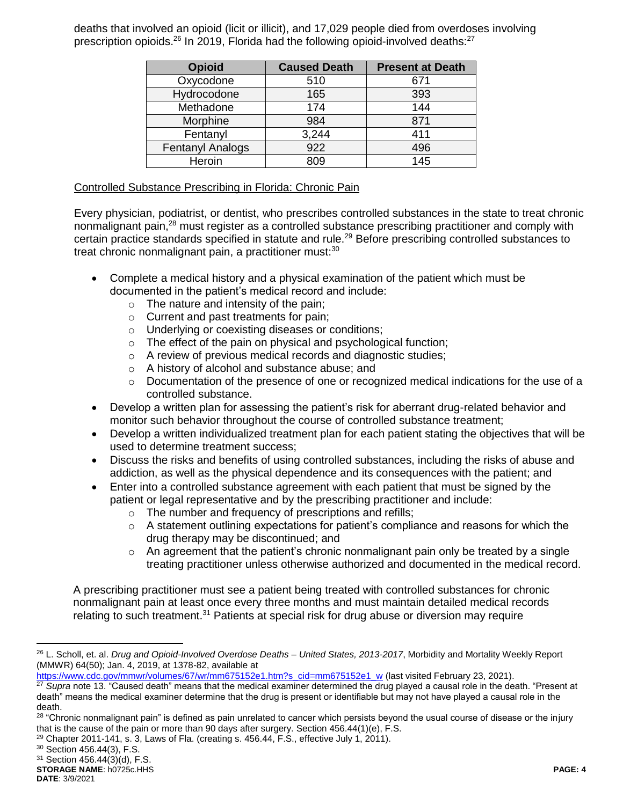deaths that involved an opioid (licit or illicit), and 17,029 people died from overdoses involving prescription opioids.<sup>26</sup> In 2019, Florida had the following opioid-involved deaths:<sup>27</sup>

| <b>Opioid</b>           | <b>Caused Death</b> | <b>Present at Death</b> |
|-------------------------|---------------------|-------------------------|
| Oxycodone               | 510                 | 671                     |
| Hydrocodone             | 165                 | 393                     |
| Methadone               | 174                 | 144                     |
| Morphine                | 984                 | 871                     |
| Fentanyl                | 3,244               | 411                     |
| <b>Fentanyl Analogs</b> | 922                 | 496                     |
| Heroin                  | 809                 | 145                     |

#### Controlled Substance Prescribing in Florida: Chronic Pain

Every physician, podiatrist, or dentist, who prescribes controlled substances in the state to treat chronic nonmalignant pain,<sup>28</sup> must register as a controlled substance prescribing practitioner and comply with certain practice standards specified in statute and rule.<sup>29</sup> Before prescribing controlled substances to treat chronic nonmalignant pain, a practitioner must:<sup>30</sup>

- Complete a medical history and a physical examination of the patient which must be documented in the patient's medical record and include:
	- $\circ$  The nature and intensity of the pain;
	- o Current and past treatments for pain;
	- o Underlying or coexisting diseases or conditions;
	- o The effect of the pain on physical and psychological function;
	- o A review of previous medical records and diagnostic studies;
	- o A history of alcohol and substance abuse; and
	- $\circ$  Documentation of the presence of one or recognized medical indications for the use of a controlled substance.
- Develop a written plan for assessing the patient's risk for aberrant drug-related behavior and monitor such behavior throughout the course of controlled substance treatment;
- Develop a written individualized treatment plan for each patient stating the objectives that will be used to determine treatment success;
- Discuss the risks and benefits of using controlled substances, including the risks of abuse and addiction, as well as the physical dependence and its consequences with the patient; and
- Enter into a controlled substance agreement with each patient that must be signed by the patient or legal representative and by the prescribing practitioner and include:
	- o The number and frequency of prescriptions and refills;
	- $\circ$  A statement outlining expectations for patient's compliance and reasons for which the drug therapy may be discontinued; and
	- $\circ$  An agreement that the patient's chronic nonmalignant pain only be treated by a single treating practitioner unless otherwise authorized and documented in the medical record.

A prescribing practitioner must see a patient being treated with controlled substances for chronic nonmalignant pain at least once every three months and must maintain detailed medical records relating to such treatment.<sup>31</sup> Patients at special risk for drug abuse or diversion may require

 $\overline{a}$ 

<sup>26</sup> L. Scholl, et. al. *Drug and Opioid-Involved Overdose Deaths – United States, 2013-2017*, Morbidity and Mortality Weekly Report (MMWR) 64(50); Jan. 4, 2019, at 1378-82, available at

[https://www.cdc.gov/mmwr/volumes/67/wr/mm675152e1.htm?s\\_cid=mm675152e1\\_w](https://www.cdc.gov/mmwr/volumes/67/wr/mm675152e1.htm?s_cid=mm675152e1_w) (last visited February 23, 2021).<br><sup>27</sup> Sunra pote 13, "Caused death" means that the medical examiner determined the drug played a causal role in the

Supra not[e 13.](#page-1-3) "Caused death" means that the medical examiner determined the drug played a causal role in the death. "Present at death" means the medical examiner determine that the drug is present or identifiable but may not have played a causal role in the death.

 $^{28}$  "Chronic nonmalignant pain" is defined as pain unrelated to cancer which persists beyond the usual course of disease or the injury that is the cause of the pain or more than 90 days after surgery. Section 456.44(1)(e), F.S.

 $29$  Chapter 2011-141, s. 3, Laws of Fla. (creating s. 456.44, F.S., effective July 1, 2011).

<sup>30</sup> Section 456.44(3), F.S.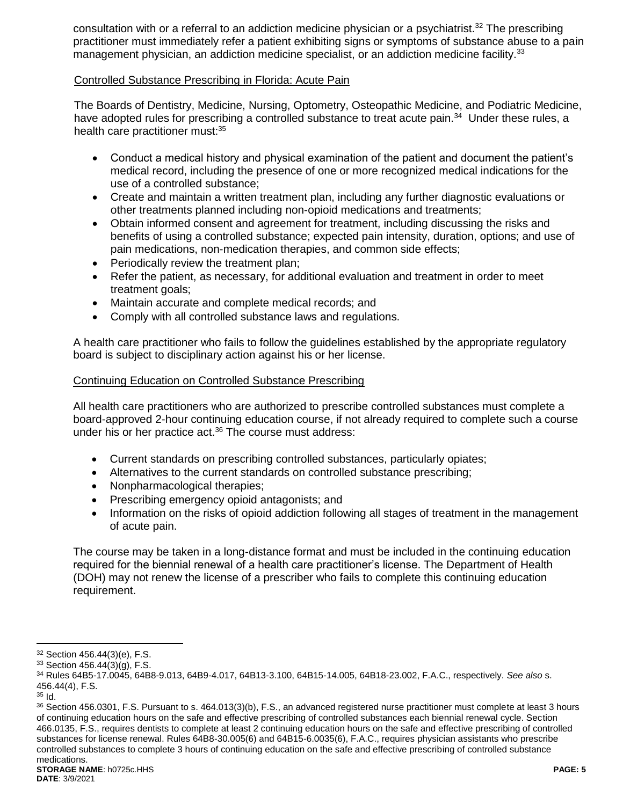consultation with or a referral to an addiction medicine physician or a psychiatrist.<sup>32</sup> The prescribing practitioner must immediately refer a patient exhibiting signs or symptoms of substance abuse to a pain management physician, an addiction medicine specialist, or an addiction medicine facility.<sup>33</sup>

#### Controlled Substance Prescribing in Florida: Acute Pain

The Boards of Dentistry, Medicine, Nursing, Optometry, Osteopathic Medicine, and Podiatric Medicine, have adopted rules for prescribing a controlled substance to treat acute pain.<sup>34</sup> Under these rules, a health care practitioner must:<sup>35</sup>

- Conduct a medical history and physical examination of the patient and document the patient's medical record, including the presence of one or more recognized medical indications for the use of a controlled substance;
- Create and maintain a written treatment plan, including any further diagnostic evaluations or other treatments planned including non-opioid medications and treatments;
- Obtain informed consent and agreement for treatment, including discussing the risks and benefits of using a controlled substance; expected pain intensity, duration, options; and use of pain medications, non-medication therapies, and common side effects;
- Periodically review the treatment plan;
- Refer the patient, as necessary, for additional evaluation and treatment in order to meet treatment goals;
- Maintain accurate and complete medical records; and
- Comply with all controlled substance laws and regulations.

A health care practitioner who fails to follow the guidelines established by the appropriate regulatory board is subject to disciplinary action against his or her license.

#### Continuing Education on Controlled Substance Prescribing

All health care practitioners who are authorized to prescribe controlled substances must complete a board-approved 2-hour continuing education course, if not already required to complete such a course under his or her practice act.<sup>36</sup> The course must address:

- Current standards on prescribing controlled substances, particularly opiates;
- Alternatives to the current standards on controlled substance prescribing;
- Nonpharmacological therapies;
- Prescribing emergency opioid antagonists; and
- Information on the risks of opioid addiction following all stages of treatment in the management of acute pain.

The course may be taken in a long-distance format and must be included in the continuing education required for the biennial renewal of a health care practitioner's license. The Department of Health (DOH) may not renew the license of a prescriber who fails to complete this continuing education requirement.

 $\overline{a}$ <sup>32</sup> Section 456.44(3)(e), F.S.

<sup>33</sup> Section 456.44(3)(g), F.S.

<sup>34</sup> Rules 64B5-17.0045, 64B8-9.013, 64B9-4.017, 64B13-3.100, 64B15-14.005, 64B18-23.002, F.A.C., respectively. *See also* s. 456.44(4), F.S.

 $35$  Id.

<sup>36</sup> Section 456.0301, F.S. Pursuant to s. 464.013(3)(b), F.S., an advanced registered nurse practitioner must complete at least 3 hours of continuing education hours on the safe and effective prescribing of controlled substances each biennial renewal cycle. Section 466.0135, F.S., requires dentists to complete at least 2 continuing education hours on the safe and effective prescribing of controlled substances for license renewal. Rules 64B8-30.005(6) and 64B15-6.0035(6), F.A.C., requires physician assistants who prescribe controlled substances to complete 3 hours of continuing education on the safe and effective prescribing of controlled substance medications.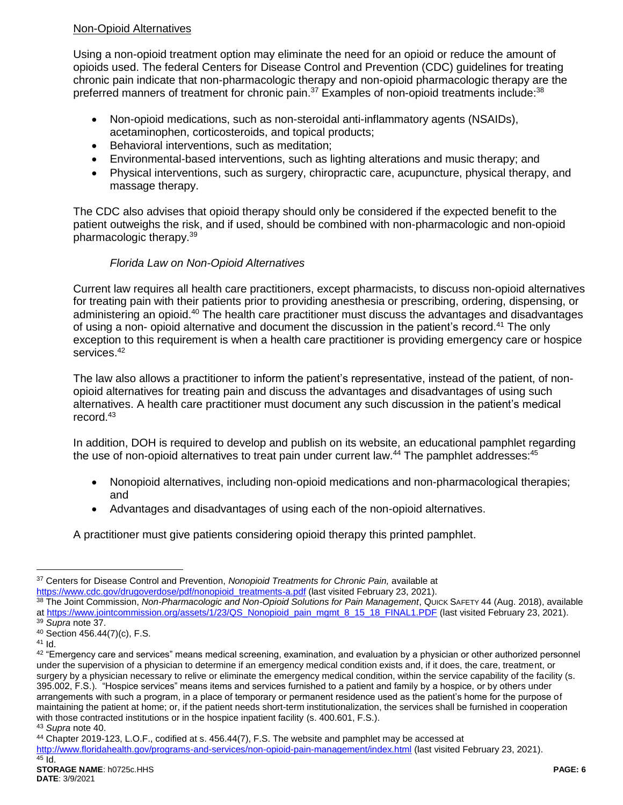## Non-Opioid Alternatives

Using a non-opioid treatment option may eliminate the need for an opioid or reduce the amount of opioids used. The federal Centers for Disease Control and Prevention (CDC) guidelines for treating chronic pain indicate that non-pharmacologic therapy and non-opioid pharmacologic therapy are the preferred manners of treatment for chronic pain.<sup>37</sup> Examples of non-opioid treatments include:<sup>38</sup>

- Non-opioid medications, such as non-steroidal anti-inflammatory agents (NSAIDs), acetaminophen, corticosteroids, and topical products;
- Behavioral interventions, such as meditation;
- Environmental-based interventions, such as lighting alterations and music therapy; and
- Physical interventions, such as surgery, chiropractic care, acupuncture, physical therapy, and massage therapy.

The CDC also advises that opioid therapy should only be considered if the expected benefit to the patient outweighs the risk, and if used, should be combined with non-pharmacologic and non-opioid pharmacologic therapy.<sup>39</sup>

# *Florida Law on Non-Opioid Alternatives*

Current law requires all health care practitioners, except pharmacists, to discuss non-opioid alternatives for treating pain with their patients prior to providing anesthesia or prescribing, ordering, dispensing, or administering an opioid.<sup>40</sup> The health care practitioner must discuss the advantages and disadvantages of using a non- opioid alternative and document the discussion in the patient's record.<sup>41</sup> The only exception to this requirement is when a health care practitioner is providing emergency care or hospice services. 42

The law also allows a practitioner to inform the patient's representative, instead of the patient, of nonopioid alternatives for treating pain and discuss the advantages and disadvantages of using such alternatives. A health care practitioner must document any such discussion in the patient's medical record. 43

In addition, DOH is required to develop and publish on its website, an educational pamphlet regarding the use of non-opioid alternatives to treat pain under current law.<sup>44</sup> The pamphlet addresses:  $45$ 

- Nonopioid alternatives, including non-opioid medications and non-pharmacological therapies; and
- Advantages and disadvantages of using each of the non-opioid alternatives.

A practitioner must give patients considering opioid therapy this printed pamphlet.

 $\overline{a}$ 

<sup>37</sup> Centers for Disease Control and Prevention, *Nonopioid Treatments for Chronic Pain,* available at [https://www.cdc.gov/drugoverdose/pdf/nonopioid\\_treatments-a.pdf](https://www.cdc.gov/drugoverdose/pdf/nonopioid_treatments-a.pdf) (last visited February 23, 2021).

<sup>38</sup> The Joint Commission, *Non-Pharmacologic and Non-Opioid Solutions for Pain Management*, QUICK SAFETY 44 (Aug. 2018), available at [https://www.jointcommission.org/assets/1/23/QS\\_Nonopioid\\_pain\\_mgmt\\_8\\_15\\_18\\_FINAL1.PDF](https://www.jointcommission.org/assets/1/23/QS_Nonopioid_pain_mgmt_8_15_18_FINAL1.PDF) (last visited February 23, 2021). <sup>39</sup> *Supra* note 37.

<sup>40</sup> Section 456.44(7)(c), F.S.

 $41$  Id.

<sup>42 &</sup>quot;Emergency care and services" means medical screening, examination, and evaluation by a physician or other authorized personnel under the supervision of a physician to determine if an emergency medical condition exists and, if it does, the care, treatment, or surgery by a physician necessary to relive or eliminate the emergency medical condition, within the service capability of the facility (s. 395.002, F.S.). "Hospice services" means items and services furnished to a patient and family by a hospice, or by others under arrangements with such a program, in a place of temporary or permanent residence used as the patient's home for the purpose of maintaining the patient at home; or, if the patient needs short-term institutionalization, the services shall be furnished in cooperation with those contracted institutions or in the hospice inpatient facility (s. 400.601, F.S.). <sup>43</sup> *Supra* note 40.

<sup>44</sup> Chapter 2019-123, L.O.F., codified at s. 456.44(7), F.S. The website and pamphlet may be accessed at <http://www.floridahealth.gov/programs-and-services/non-opioid-pain-management/index.html> (last visited February 23, 2021).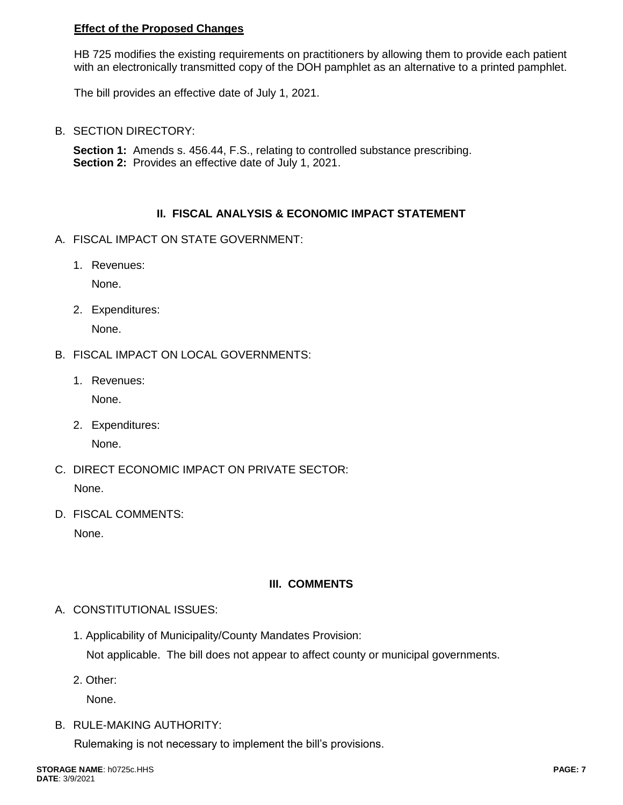## **Effect of the Proposed Changes**

HB 725 modifies the existing requirements on practitioners by allowing them to provide each patient with an electronically transmitted copy of the DOH pamphlet as an alternative to a printed pamphlet.

The bill provides an effective date of July 1, 2021.

B. SECTION DIRECTORY:

**Section 1:** Amends s. 456.44, F.S., relating to controlled substance prescribing. **Section 2:** Provides an effective date of July 1, 2021.

#### **II. FISCAL ANALYSIS & ECONOMIC IMPACT STATEMENT**

- A. FISCAL IMPACT ON STATE GOVERNMENT:
	- 1. Revenues:

None.

2. Expenditures:

None.

- B. FISCAL IMPACT ON LOCAL GOVERNMENTS:
	- 1. Revenues:

None.

- 2. Expenditures: None.
- C. DIRECT ECONOMIC IMPACT ON PRIVATE SECTOR: None.
- D. FISCAL COMMENTS: None.

## **III. COMMENTS**

- A. CONSTITUTIONAL ISSUES:
	- 1. Applicability of Municipality/County Mandates Provision: Not applicable. The bill does not appear to affect county or municipal governments.
	- 2. Other:

None.

B. RULE-MAKING AUTHORITY:

Rulemaking is not necessary to implement the bill's provisions.